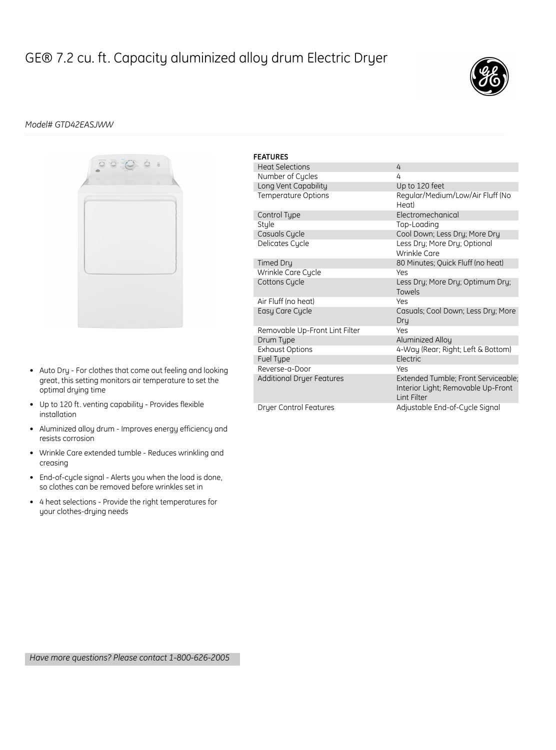## GE® 7.2 cu. ft. Capacity aluminized alloy drum Electric Dryer



## *Model# GTD42EASJWW*



- Auto Dry For clothes that come out feeling and looking great, this setting monitors air temperature to set the optimal drying time
- Up to 120 ft. venting capability Provides flexible installation
- Aluminized alloy drum Improves energy efficiency and resists corrosion
- Wrinkle Care extended tumble Reduces wrinkling and creasing
- End-of-cycle signal Alerts you when the load is done, so clothes can be removed before wrinkles set in
- 4 heat selections Provide the right temperatures for your clothes-drying needs

| <b>FEATURES</b> |                                  |                                                                                           |
|-----------------|----------------------------------|-------------------------------------------------------------------------------------------|
|                 | <b>Heat Selections</b>           | 4                                                                                         |
|                 | Number of Cycles                 | 4                                                                                         |
|                 | Long Vent Capability             | Up to 120 feet                                                                            |
|                 | Temperature Options              | Regular/Medium/Low/Air Fluff (No<br>Heat)                                                 |
|                 | Control Type                     | Electromechanical                                                                         |
|                 | Style                            | Top-Loading                                                                               |
|                 | Casuals Cycle                    | Cool Down; Less Dry; More Dry                                                             |
|                 | Delicates Cycle                  | Less Dry; More Dry; Optional<br>Wrinkle Care                                              |
|                 | Timed Dry                        | 80 Minutes; Quick Fluff (no heat)                                                         |
|                 | Wrinkle Care Cycle               | Yes                                                                                       |
|                 | Cottons Cycle                    | Less Dry; More Dry; Optimum Dry;<br>Towels                                                |
|                 | Air Fluff (no heat)              | Yes                                                                                       |
|                 | Easy Care Cycle                  | Casuals; Cool Down; Less Dry; More<br>Dru                                                 |
|                 | Removable Up-Front Lint Filter   | Yes                                                                                       |
|                 | Drum Type                        | Aluminized Alloy                                                                          |
|                 | <b>Exhaust Options</b>           | 4-Way (Rear; Right; Left & Bottom)                                                        |
|                 | Fuel Type                        | Electric                                                                                  |
|                 | Reverse-a-Door                   | Yes                                                                                       |
|                 | <b>Additional Dryer Features</b> | Extended Tumble; Front Serviceable;<br>Interior Light; Removable Up-Front<br>I int Filter |
|                 | <b>Dryer Control Features</b>    | Adjustable End-of-Cycle Signal                                                            |

*Have more questions? Please contact 1-800-626-2005*